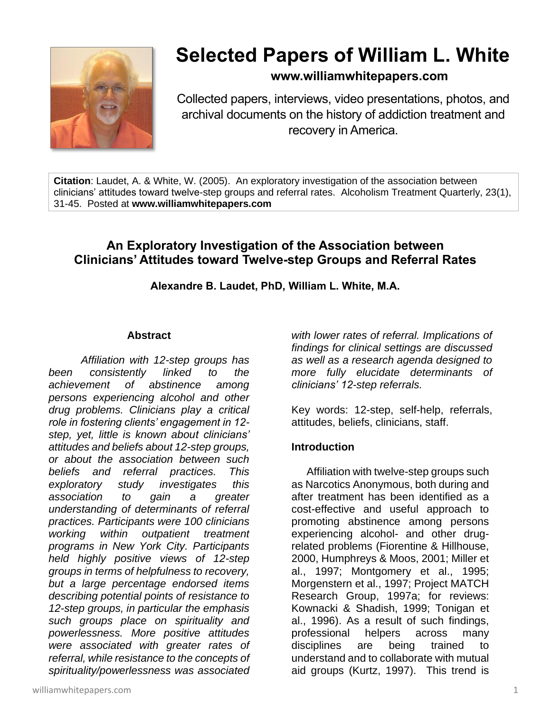

# **Selected Papers of William L. White**

# **www.williamwhitepapers.com**

Collected papers, interviews, video presentations, photos, and archival documents on the history of addiction treatment and recovery in America.

**Citation**: Laudet, A. & White, W. (2005). An exploratory investigation of the association between clinicians' attitudes toward twelve-step groups and referral rates. Alcoholism Treatment Quarterly, 23(1), 31-45. Posted at **www.williamwhitepapers.com**

# **An Exploratory Investigation of the Association between Clinicians' Attitudes toward Twelve-step Groups and Referral Rates**

**Alexandre B. Laudet, PhD, William L. White, M.A.**

#### **Abstract**

*Affiliation with 12-step groups has been consistently linked to the achievement of abstinence among persons experiencing alcohol and other drug problems. Clinicians play a critical role in fostering clients' engagement in 12 step, yet, little is known about clinicians' attitudes and beliefs about 12-step groups, or about the association between such beliefs and referral practices. This exploratory study investigates this association to gain a greater understanding of determinants of referral practices. Participants were 100 clinicians working within outpatient treatment programs in New York City. Participants held highly positive views of 12-step groups in terms of helpfulness to recovery, but a large percentage endorsed items describing potential points of resistance to 12-step groups, in particular the emphasis such groups place on spirituality and powerlessness. More positive attitudes were associated with greater rates of referral, while resistance to the concepts of spirituality/powerlessness was associated*  *with lower rates of referral. Implications of findings for clinical settings are discussed as well as a research agenda designed to more fully elucidate determinants of clinicians' 12-step referrals.* 

Key words: 12-step, self-help, referrals, attitudes, beliefs, clinicians, staff.

## **Introduction**

 Affiliation with twelve-step groups such as Narcotics Anonymous, both during and after treatment has been identified as a cost-effective and useful approach to promoting abstinence among persons experiencing alcohol- and other drugrelated problems (Fiorentine & Hillhouse, 2000, Humphreys & Moos, 2001; Miller et al., 1997; Montgomery et al., 1995; Morgenstern et al., 1997; Project MATCH Research Group, 1997a; for reviews: Kownacki & Shadish, 1999; Tonigan et al., 1996). As a result of such findings, professional helpers across many disciplines are being trained to understand and to collaborate with mutual aid groups (Kurtz, 1997). This trend is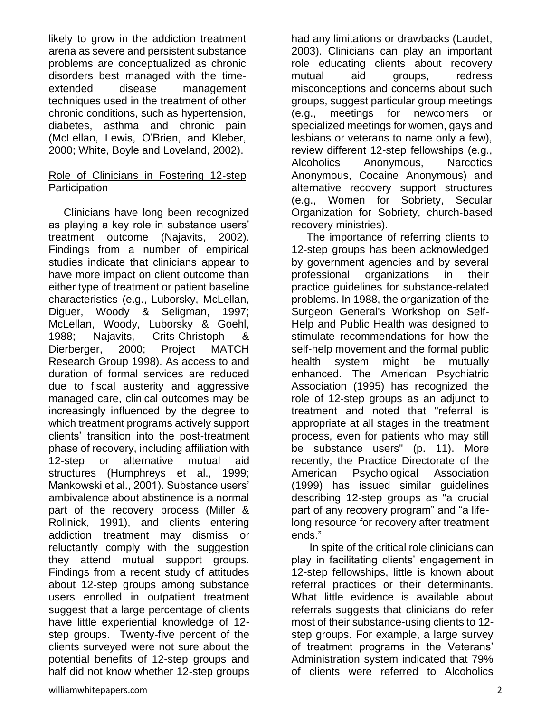likely to grow in the addiction treatment arena as severe and persistent substance problems are conceptualized as chronic disorders best managed with the timeextended disease management techniques used in the treatment of other chronic conditions, such as hypertension, diabetes, asthma and chronic pain (McLellan, Lewis, O'Brien, and Kleber, 2000; White, Boyle and Loveland, 2002).

#### Role of Clinicians in Fostering 12-step **Participation**

 Clinicians have long been recognized as playing a key role in substance users' treatment outcome (Najavits, 2002). Findings from a number of empirical studies indicate that clinicians appear to have more impact on client outcome than either type of treatment or patient baseline characteristics (e.g., Luborsky, McLellan, Diguer, Woody & Seligman, 1997; McLellan, Woody, Luborsky & Goehl, 1988; Najavits, Crits-Christoph & Dierberger, 2000; Project MATCH Research Group 1998). As access to and duration of formal services are reduced due to fiscal austerity and aggressive managed care, clinical outcomes may be increasingly influenced by the degree to which treatment programs actively support clients' transition into the post-treatment phase of recovery, including affiliation with 12-step or alternative mutual aid structures (Humphreys et al., 1999; Mankowski et al., 2001). Substance users' ambivalence about abstinence is a normal part of the recovery process (Miller & Rollnick, 1991), and clients entering addiction treatment may dismiss or reluctantly comply with the suggestion they attend mutual support groups. Findings from a recent study of attitudes about 12-step groups among substance users enrolled in outpatient treatment suggest that a large percentage of clients have little experiential knowledge of 12 step groups. Twenty-five percent of the clients surveyed were not sure about the potential benefits of 12-step groups and half did not know whether 12-step groups

had any limitations or drawbacks (Laudet, 2003). Clinicians can play an important role educating clients about recovery mutual aid groups, redress misconceptions and concerns about such groups, suggest particular group meetings (e.g., meetings for newcomers or specialized meetings for women, gays and lesbians or veterans to name only a few), review different 12-step fellowships (e.g., Alcoholics Anonymous, Narcotics Anonymous, Cocaine Anonymous) and alternative recovery support structures (e.g., Women for Sobriety, Secular Organization for Sobriety, church-based recovery ministries).

 The importance of referring clients to 12-step groups has been acknowledged by government agencies and by several professional organizations in their practice guidelines for substance-related problems. In 1988, the organization of the Surgeon General's Workshop on Self-Help and Public Health was designed to stimulate recommendations for how the self-help movement and the formal public health system might be mutually enhanced. The American Psychiatric Association (1995) has recognized the role of 12-step groups as an adjunct to treatment and noted that "referral is appropriate at all stages in the treatment process, even for patients who may still be substance users" (p. 11). More recently, the Practice Directorate of the American Psychological Association (1999) has issued similar guidelines describing 12-step groups as "a crucial part of any recovery program" and "a lifelong resource for recovery after treatment ends."

 In spite of the critical role clinicians can play in facilitating clients' engagement in 12-step fellowships, little is known about referral practices or their determinants. What little evidence is available about referrals suggests that clinicians do refer most of their substance-using clients to 12 step groups. For example, a large survey of treatment programs in the Veterans' Administration system indicated that 79% of clients were referred to Alcoholics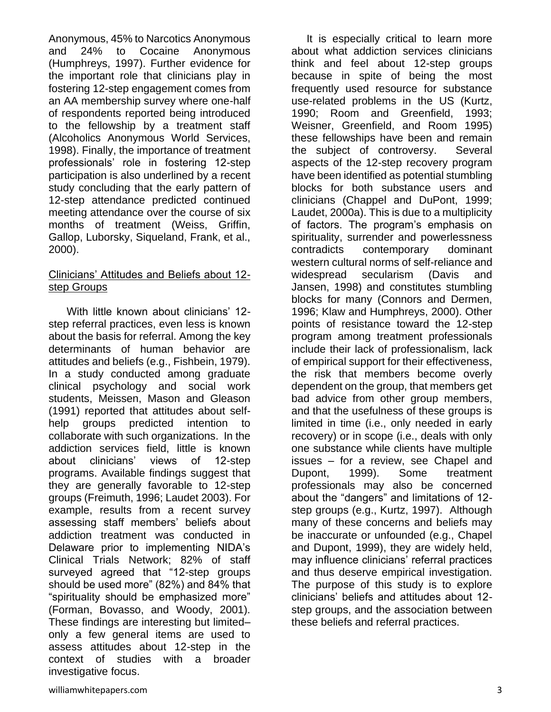Anonymous, 45% to Narcotics Anonymous and 24% to Cocaine Anonymous (Humphreys, 1997). Further evidence for the important role that clinicians play in fostering 12-step engagement comes from an AA membership survey where one-half of respondents reported being introduced to the fellowship by a treatment staff (Alcoholics Anonymous World Services, 1998). Finally, the importance of treatment professionals' role in fostering 12-step participation is also underlined by a recent study concluding that the early pattern of 12-step attendance predicted continued meeting attendance over the course of six months of treatment (Weiss, Griffin, Gallop, Luborsky, Siqueland, Frank, et al., 2000).

#### Clinicians' Attitudes and Beliefs about 12 step Groups

 With little known about clinicians' 12 step referral practices, even less is known about the basis for referral. Among the key determinants of human behavior are attitudes and beliefs (e.g., Fishbein, 1979). In a study conducted among graduate clinical psychology and social work students, Meissen, Mason and Gleason (1991) reported that attitudes about selfhelp groups predicted intention to collaborate with such organizations. In the addiction services field, little is known about clinicians' views of 12-step programs. Available findings suggest that they are generally favorable to 12-step groups (Freimuth, 1996; Laudet 2003). For example, results from a recent survey assessing staff members' beliefs about addiction treatment was conducted in Delaware prior to implementing NIDA's Clinical Trials Network; 82% of staff surveyed agreed that "12-step groups should be used more" (82%) and 84% that "spirituality should be emphasized more" (Forman, Bovasso, and Woody, 2001). These findings are interesting but limited– only a few general items are used to assess attitudes about 12-step in the context of studies with a broader investigative focus.

 It is especially critical to learn more about what addiction services clinicians think and feel about 12-step groups because in spite of being the most frequently used resource for substance use-related problems in the US (Kurtz, 1990; Room and Greenfield, 1993; Weisner, Greenfield, and Room 1995) these fellowships have been and remain the subject of controversy. Several aspects of the 12-step recovery program have been identified as potential stumbling blocks for both substance users and clinicians (Chappel and DuPont, 1999; Laudet, 2000a). This is due to a multiplicity of factors. The program's emphasis on spirituality, surrender and powerlessness contradicts contemporary dominant western cultural norms of self-reliance and widespread secularism (Davis and Jansen, 1998) and constitutes stumbling blocks for many (Connors and Dermen, 1996; Klaw and Humphreys, 2000). Other points of resistance toward the 12-step program among treatment professionals include their lack of professionalism, lack of empirical support for their effectiveness, the risk that members become overly dependent on the group, that members get bad advice from other group members, and that the usefulness of these groups is limited in time (i.e., only needed in early recovery) or in scope (i.e., deals with only one substance while clients have multiple issues – for a review, see Chapel and Dupont, 1999). Some treatment professionals may also be concerned about the "dangers" and limitations of 12 step groups (e.g., Kurtz, 1997). Although many of these concerns and beliefs may be inaccurate or unfounded (e.g., Chapel and Dupont, 1999), they are widely held, may influence clinicians' referral practices and thus deserve empirical investigation. The purpose of this study is to explore clinicians' beliefs and attitudes about 12 step groups, and the association between these beliefs and referral practices.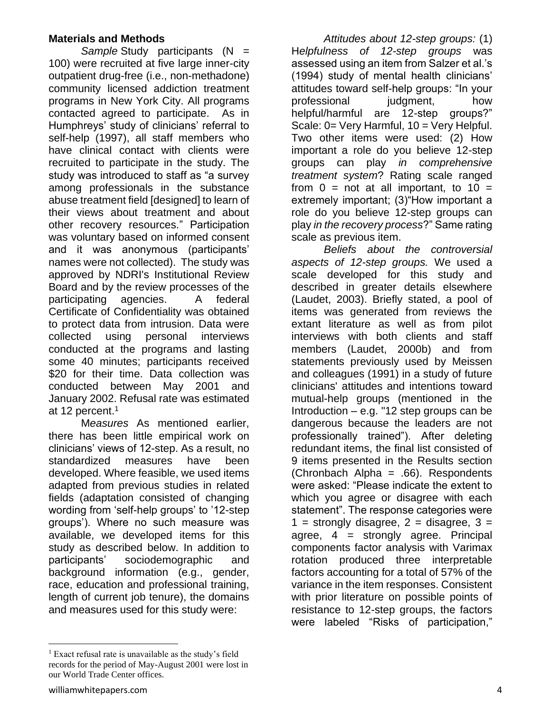### **Materials and Methods**

*Sample* Study participants (N = 100) were recruited at five large inner-city outpatient drug-free (i.e., non-methadone) community licensed addiction treatment programs in New York City. All programs contacted agreed to participate. As in Humphreys' study of clinicians' referral to self-help (1997), all staff members who have clinical contact with clients were recruited to participate in the study. The study was introduced to staff as "a survey among professionals in the substance abuse treatment field [designed] to learn of their views about treatment and about other recovery resources." Participation was voluntary based on informed consent and it was anonymous (participants' names were not collected). The study was approved by NDRI's Institutional Review Board and by the review processes of the participating agencies. A federal Certificate of Confidentiality was obtained to protect data from intrusion. Data were collected using personal interviews conducted at the programs and lasting some 40 minutes; participants received \$20 for their time. Data collection was conducted between May 2001 and January 2002. Refusal rate was estimated at 12 percent.<sup>1</sup>

M*easures* As mentioned earlier, there has been little empirical work on clinicians' views of 12-step. As a result, no standardized measures have been developed. Where feasible, we used items adapted from previous studies in related fields (adaptation consisted of changing wording from 'self-help groups' to '12-step groups'). Where no such measure was available, we developed items for this study as described below. In addition to participants' sociodemographic and background information (e.g., gender, race, education and professional training, length of current job tenure), the domains and measures used for this study were:

 $<sup>1</sup>$  Exact refusal rate is unavailable as the study's field</sup> records for the period of May-August 2001 were lost in our World Trade Center offices.

*Attitudes about 12-step groups:* (1) H*elpfulness of 12-step groups* was assessed using an item from Salzer et al.'s (1994) study of mental health clinicians' attitudes toward self-help groups: "In your professional judgment, how helpful/harmful are 12-step groups?" Scale: 0= Very Harmful, 10 = Very Helpful. Two other items were used: (2) How important a role do you believe 12-step groups can play *in comprehensive treatment system*? Rating scale ranged from  $0 = \text{not at all important, to } 10 =$ extremely important; (3)"How important a role do you believe 12-step groups can play *in the recovery process*?" Same rating scale as previous item.

*Beliefs about the controversial aspects of 12-step groups.* We used a scale developed for this study and described in greater details elsewhere (Laudet, 2003). Briefly stated, a pool of items was generated from reviews the extant literature as well as from pilot interviews with both clients and staff members (Laudet, 2000b) and from statements previously used by Meissen and colleagues (1991) in a study of future clinicians' attitudes and intentions toward mutual-help groups (mentioned in the Introduction – e.g. "12 step groups can be dangerous because the leaders are not professionally trained"). After deleting redundant items, the final list consisted of 9 items presented in the Results section (Chronbach Alpha = .66). Respondents were asked: "Please indicate the extent to which you agree or disagree with each statement". The response categories were 1 = strongly disagree,  $2$  = disagree,  $3$  = agree, 4 = strongly agree. Principal components factor analysis with Varimax rotation produced three interpretable factors accounting for a total of 57% of the variance in the item responses. Consistent with prior literature on possible points of resistance to 12-step groups, the factors were labeled "Risks of participation,"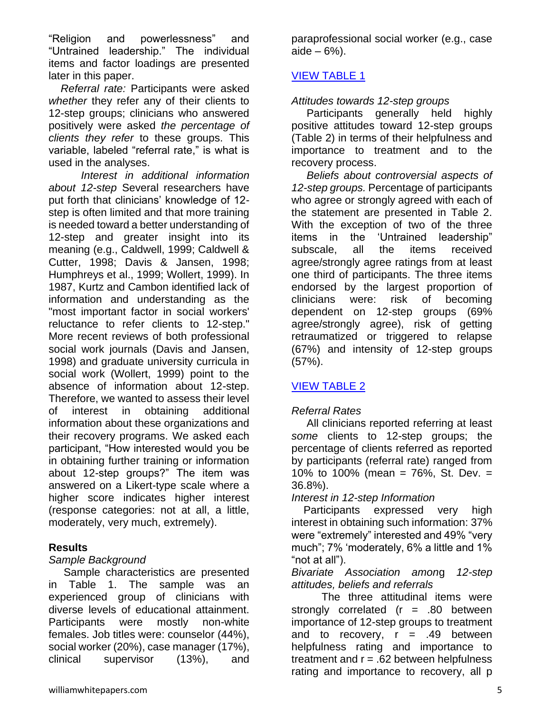"Religion and powerlessness" and "Untrained leadership." The individual items and factor loadings are presented later in this paper.

*Referral rate:* Participants were asked *whether* they refer any of their clients to 12-step groups; clinicians who answered positively were asked *the percentage of clients they refer* to these groups. This variable, labeled "referral rate," is what is used in the analyses.

*Interest in additional information about 12-step* Several researchers have put forth that clinicians' knowledge of 12 step is often limited and that more training is needed toward a better understanding of 12-step and greater insight into its meaning (e.g., Caldwell, 1999; Caldwell & Cutter, 1998; Davis & Jansen, 1998; Humphreys et al., 1999; Wollert, 1999). In 1987, Kurtz and Cambon identified lack of information and understanding as the "most important factor in social workers' reluctance to refer clients to 12-step." More recent reviews of both professional social work journals (Davis and Jansen, 1998) and graduate university curricula in social work (Wollert, 1999) point to the absence of information about 12-step. Therefore, we wanted to assess their level of interest in obtaining additional information about these organizations and their recovery programs. We asked each participant, "How interested would you be in obtaining further training or information about 12-step groups?" The item was answered on a Likert-type scale where a higher score indicates higher interest (response categories: not at all, a little, moderately, very much, extremely).

#### **Results**

## *Sample Background*

 Sample characteristics are presented in Table 1. The sample was an experienced group of clinicians with diverse levels of educational attainment. Participants were mostly non-white females. Job titles were: counselor (44%), social worker (20%), case manager (17%), clinical supervisor (13%), and

paraprofessional social worker (e.g., case  $aide - 6%$ ).

# [VIEW TABLE 1](#page-10-0)

## <span id="page-4-0"></span>*Attitudes towards 12-step groups*

 Participants generally held highly positive attitudes toward 12-step groups (Table 2) in terms of their helpfulness and importance to treatment and to the recovery process.

 *Beliefs about controversial aspects of 12-step groups.* Percentage of participants who agree or strongly agreed with each of the statement are presented in Table 2. With the exception of two of the three items in the 'Untrained leadership" subscale, all the items received agree/strongly agree ratings from at least one third of participants. The three items endorsed by the largest proportion of clinicians were: risk of becoming dependent on 12-step groups (69% agree/strongly agree), risk of getting retraumatized or triggered to relapse (67%) and intensity of 12-step groups (57%).

# VIEW [TABLE 2](#page-11-0)

## <span id="page-4-1"></span>*Referral Rates*

 All clinicians reported referring at least *some* clients to 12-step groups; the percentage of clients referred as reported by participants (referral rate) ranged from 10% to 100% (mean = 76%, St. Dev. = 36.8%).

## *Interest in 12-step Information*

 Participants expressed very high interest in obtaining such information: 37% were "extremely" interested and 49% "very much"; 7% 'moderately, 6% a little and 1% "not at all").

#### *Bivariate Association amon*g *12-step attitudes, beliefs and referrals*

 The three attitudinal items were strongly correlated  $(r = .80)$  between importance of 12-step groups to treatment and to recovery,  $r = .49$  between helpfulness rating and importance to treatment and  $r = .62$  between helpfulness rating and importance to recovery, all p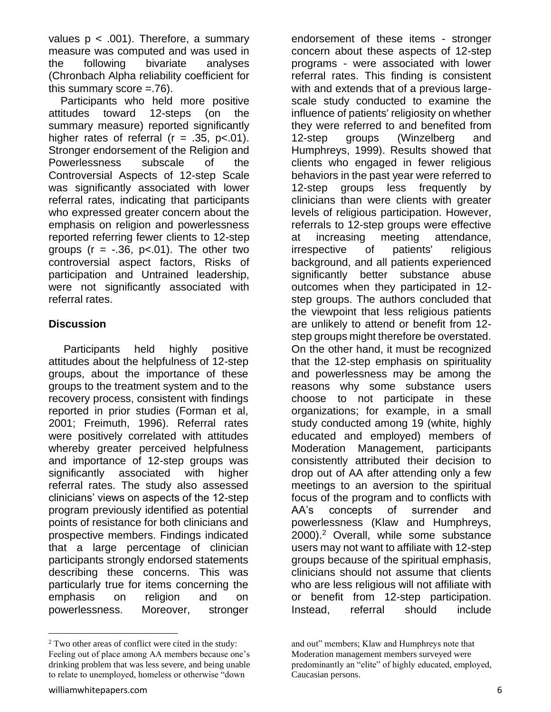values  $p < .001$ ). Therefore, a summary measure was computed and was used in the following bivariate analyses (Chronbach Alpha reliability coefficient for this summary score =.76).

 Participants who held more positive attitudes toward 12-steps (on the summary measure) reported significantly higher rates of referral  $(r = .35, p < .01)$ . Stronger endorsement of the Religion and Powerlessness subscale of the Controversial Aspects of 12-step Scale was significantly associated with lower referral rates, indicating that participants who expressed greater concern about the emphasis on religion and powerlessness reported referring fewer clients to 12-step groups  $(r = -.36, p < .01)$ . The other two controversial aspect factors, Risks of participation and Untrained leadership, were not significantly associated with referral rates.

## **Discussion**

 Participants held highly positive attitudes about the helpfulness of 12-step groups, about the importance of these groups to the treatment system and to the recovery process, consistent with findings reported in prior studies (Forman et al, 2001; Freimuth, 1996). Referral rates were positively correlated with attitudes whereby greater perceived helpfulness and importance of 12-step groups was significantly associated with higher referral rates. The study also assessed clinicians' views on aspects of the 12-step program previously identified as potential points of resistance for both clinicians and prospective members. Findings indicated that a large percentage of clinician participants strongly endorsed statements describing these concerns. This was particularly true for items concerning the emphasis on religion and on powerlessness. Moreover, stronger

endorsement of these items - stronger concern about these aspects of 12-step programs - were associated with lower referral rates. This finding is consistent with and extends that of a previous largescale study conducted to examine the influence of patients' religiosity on whether they were referred to and benefited from 12-step groups (Winzelberg and Humphreys, 1999). Results showed that clients who engaged in fewer religious behaviors in the past year were referred to 12-step groups less frequently by clinicians than were clients with greater levels of religious participation. However, referrals to 12-step groups were effective at increasing meeting attendance, irrespective of patients' religious background, and all patients experienced significantly better substance abuse outcomes when they participated in 12 step groups. The authors concluded that the viewpoint that less religious patients are unlikely to attend or benefit from 12 step groups might therefore be overstated. On the other hand, it must be recognized that the 12-step emphasis on spirituality and powerlessness may be among the reasons why some substance users choose to not participate in these organizations; for example, in a small study conducted among 19 (white, highly educated and employed) members of Moderation Management, participants consistently attributed their decision to drop out of AA after attending only a few meetings to an aversion to the spiritual focus of the program and to conflicts with AA's concepts of surrender and powerlessness (Klaw and Humphreys, 2000).<sup>2</sup> Overall, while some substance users may not want to affiliate with 12-step groups because of the spiritual emphasis, clinicians should not assume that clients who are less religious will not affiliate with or benefit from 12-step participation. Instead, referral should include

 $2$  Two other areas of conflict were cited in the study:

Feeling out of place among AA members because one's drinking problem that was less severe, and being unable to relate to unemployed, homeless or otherwise "down

and out" members; Klaw and Humphreys note that Moderation management members surveyed were predominantly an "elite" of highly educated, employed, Caucasian persons.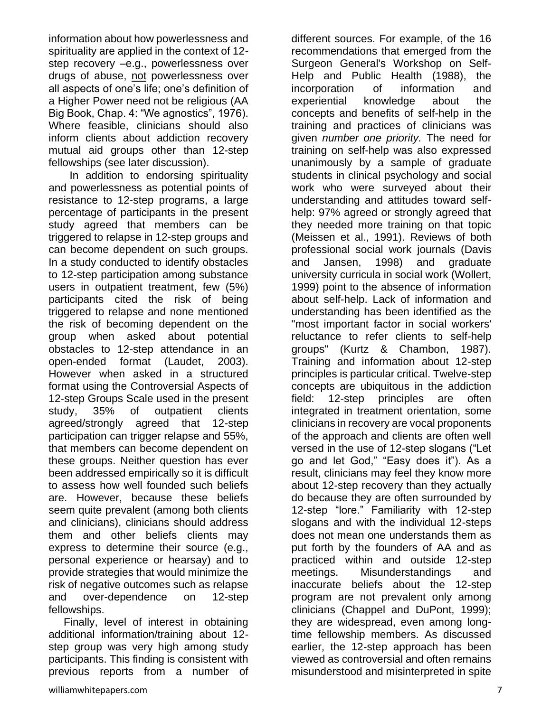information about how powerlessness and spirituality are applied in the context of 12 step recovery –e.g., powerlessness over drugs of abuse, not powerlessness over all aspects of one's life; one's definition of a Higher Power need not be religious (AA Big Book, Chap. 4: "We agnostics", 1976). Where feasible, clinicians should also inform clients about addiction recovery mutual aid groups other than 12-step fellowships (see later discussion).

 In addition to endorsing spirituality and powerlessness as potential points of resistance to 12-step programs, a large percentage of participants in the present study agreed that members can be triggered to relapse in 12-step groups and can become dependent on such groups. In a study conducted to identify obstacles to 12-step participation among substance users in outpatient treatment, few (5%) participants cited the risk of being triggered to relapse and none mentioned the risk of becoming dependent on the group when asked about potential obstacles to 12-step attendance in an open-ended format (Laudet, 2003). However when asked in a structured format using the Controversial Aspects of 12-step Groups Scale used in the present study, 35% of outpatient clients agreed/strongly agreed that 12-step participation can trigger relapse and 55%. that members can become dependent on these groups. Neither question has ever been addressed empirically so it is difficult to assess how well founded such beliefs are. However, because these beliefs seem quite prevalent (among both clients and clinicians), clinicians should address them and other beliefs clients may express to determine their source (e.g., personal experience or hearsay) and to provide strategies that would minimize the risk of negative outcomes such as relapse and over-dependence on 12-step fellowships.

 Finally, level of interest in obtaining additional information/training about 12 step group was very high among study participants. This finding is consistent with previous reports from a number of

different sources. For example, of the 16 recommendations that emerged from the Surgeon General's Workshop on Self-Help and Public Health (1988), the incorporation of information and experiential knowledge about the concepts and benefits of self-help in the training and practices of clinicians was given *number one priority.* The need for training on self-help was also expressed unanimously by a sample of graduate students in clinical psychology and social work who were surveyed about their understanding and attitudes toward selfhelp: 97% agreed or strongly agreed that they needed more training on that topic (Meissen et al., 1991). Reviews of both professional social work journals (Davis and Jansen, 1998) and graduate university curricula in social work (Wollert, 1999) point to the absence of information about self-help. Lack of information and understanding has been identified as the "most important factor in social workers' reluctance to refer clients to self-help groups" (Kurtz & Chambon, 1987). Training and information about 12-step principles is particular critical. Twelve-step concepts are ubiquitous in the addiction field: 12-step principles are often integrated in treatment orientation, some clinicians in recovery are vocal proponents of the approach and clients are often well versed in the use of 12-step slogans ("Let go and let God," "Easy does it"). As a result, clinicians may feel they know more about 12-step recovery than they actually do because they are often surrounded by 12-step "lore." Familiarity with 12-step slogans and with the individual 12-steps does not mean one understands them as put forth by the founders of AA and as practiced within and outside 12-step meetings. Misunderstandings and inaccurate beliefs about the 12-step program are not prevalent only among clinicians (Chappel and DuPont, 1999); they are widespread, even among longtime fellowship members. As discussed earlier, the 12-step approach has been viewed as controversial and often remains misunderstood and misinterpreted in spite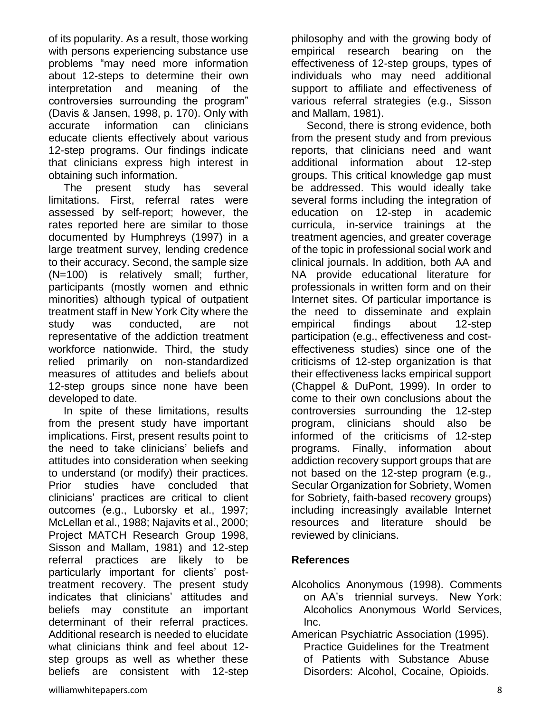of its popularity. As a result, those working with persons experiencing substance use problems "may need more information about 12-steps to determine their own interpretation and meaning of the controversies surrounding the program" (Davis & Jansen, 1998, p. 170). Only with accurate information can clinicians educate clients effectively about various 12-step programs. Our findings indicate that clinicians express high interest in obtaining such information.

 The present study has several limitations. First, referral rates were assessed by self-report; however, the rates reported here are similar to those documented by Humphreys (1997) in a large treatment survey, lending credence to their accuracy. Second, the sample size (N=100) is relatively small; further, participants (mostly women and ethnic minorities) although typical of outpatient treatment staff in New York City where the study was conducted, are not representative of the addiction treatment workforce nationwide. Third, the study relied primarily on non-standardized measures of attitudes and beliefs about 12-step groups since none have been developed to date.

 In spite of these limitations, results from the present study have important implications. First, present results point to the need to take clinicians' beliefs and attitudes into consideration when seeking to understand (or modify) their practices. Prior studies have concluded that clinicians' practices are critical to client outcomes (e.g., Luborsky et al., 1997; McLellan et al., 1988; Najavits et al., 2000; Project MATCH Research Group 1998, Sisson and Mallam, 1981) and 12-step referral practices are likely to be particularly important for clients' posttreatment recovery. The present study indicates that clinicians' attitudes and beliefs may constitute an important determinant of their referral practices. Additional research is needed to elucidate what clinicians think and feel about 12 step groups as well as whether these beliefs are consistent with 12-step

philosophy and with the growing body of empirical research bearing on the effectiveness of 12-step groups, types of individuals who may need additional support to affiliate and effectiveness of various referral strategies (e.g., Sisson and Mallam, 1981).

 Second, there is strong evidence, both from the present study and from previous reports, that clinicians need and want additional information about 12-step groups. This critical knowledge gap must be addressed. This would ideally take several forms including the integration of education on 12-step in academic curricula, in-service trainings at the treatment agencies, and greater coverage of the topic in professional social work and clinical journals. In addition, both AA and NA provide educational literature for professionals in written form and on their Internet sites. Of particular importance is the need to disseminate and explain empirical findings about 12-step participation (e.g., effectiveness and costeffectiveness studies) since one of the criticisms of 12-step organization is that their effectiveness lacks empirical support (Chappel & DuPont, 1999). In order to come to their own conclusions about the controversies surrounding the 12-step program, clinicians should also be informed of the criticisms of 12-step programs. Finally, information about addiction recovery support groups that are not based on the 12-step program (e.g., Secular Organization for Sobriety, Women for Sobriety, faith-based recovery groups) including increasingly available Internet resources and literature should be reviewed by clinicians.

## **References**

- Alcoholics Anonymous (1998). Comments on AA's triennial surveys. New York: Alcoholics Anonymous World Services, Inc.
- American Psychiatric Association (1995). Practice Guidelines for the Treatment of Patients with Substance Abuse Disorders: Alcohol, Cocaine, Opioids.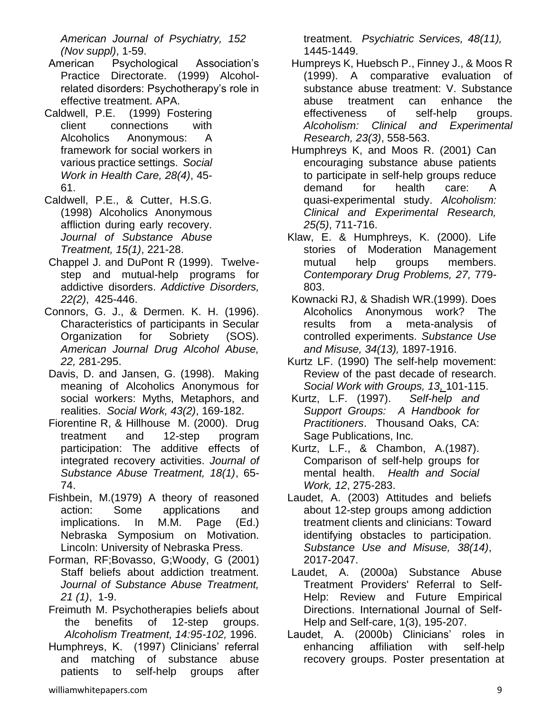*American Journal of Psychiatry, 152 (Nov suppl)*, 1-59.

- American Psychological Association's Practice Directorate. (1999) Alcoholrelated disorders: Psychotherapy's role in effective treatment. APA.
- Caldwell, P.E. (1999) Fostering client connections with Alcoholics Anonymous: A framework for social workers in various practice settings. *Social Work in Health Care, 28(4)*, 45- 61.
- Caldwell, P.E., & Cutter, H.S.G. (1998) Alcoholics Anonymous affliction during early recovery. *Journal of Substance Abuse Treatment, 15(1)*, 221-28.
- Chappel J. and DuPont R (1999). Twelvestep and mutual-help programs for addictive disorders. *Addictive Disorders, 22(2)*, 425-446.
- Connors, G. J., & Dermen. K. H. (1996). Characteristics of participants in Secular Organization for Sobriety (SOS). *American Journal Drug Alcohol Abuse, 22,* 281-295.
- Davis, D. and Jansen, G. (1998). Making meaning of Alcoholics Anonymous for social workers: Myths, Metaphors, and realities. *Social Work, 43(2)*, 169-182.
- Fiorentine R, & Hillhouse M. (2000). Drug treatment and 12-step program participation: The additive effects of integrated recovery activities. *Journal of Substance Abuse Treatment, 18(1)*, 65- 74.
- Fishbein, M.(1979) A theory of reasoned action: Some applications and implications. In M.M. Page (Ed.) Nebraska Symposium on Motivation. Lincoln: University of Nebraska Press.
- Forman, RF;Bovasso, G;Woody, G (2001) Staff beliefs about addiction treatment. *Journal of Substance Abuse Treatment, 21 (1)*, 1-9.
- Freimuth M. Psychotherapies beliefs about the benefits of 12-step groups. *Alcoholism Treatment, 14:95-102,* 1996.
- Humphreys, K. (1997) Clinicians' referral and matching of substance abuse patients to self-help groups after

treatment. *Psychiatric Services, 48(11),* 1445-1449.

- Humpreys K, Huebsch P., Finney J., & Moos R (1999). A comparative evaluation of substance abuse treatment: V. Substance abuse treatment can enhance the effectiveness of self-help groups. *Alcoholism: Clinical and Experimental Research, 23(3)*, 558-563.
- Humphreys K, and Moos R. (2001) Can encouraging substance abuse patients to participate in self-help groups reduce demand for health care: A quasi-experimental study. *Alcoholism: Clinical and Experimental Research, 25(5)*, 711-716.
- Klaw, E. & Humphreys, K. (2000). Life stories of Moderation Management mutual help groups members. *Contemporary Drug Problems, 27,* 779- 803.
- Kownacki RJ, & Shadish WR.(1999). Does Alcoholics Anonymous work? The results from a meta-analysis of controlled experiments. *Substance Use and Misuse, 34(13),* 1897-1916.
- Kurtz LF. (1990) The self-help movement: Review of the past decade of research. *Social Work with Groups, 13,* 101-115.
- Kurtz, L.F. (1997). *Self-help and Support Groups: A Handbook for Practitioners*. Thousand Oaks, CA: Sage Publications, Inc.
- Kurtz, L.F., & Chambon, A.(1987). Comparison of self-help groups for mental health. *Health and Social Work, 12*, 275-283.
- Laudet, A. (2003) Attitudes and beliefs about 12-step groups among addiction treatment clients and clinicians: Toward identifying obstacles to participation. *Substance Use and Misuse, 38(14)*, 2017-2047.
- Laudet, A. (2000a) Substance Abuse Treatment Providers' Referral to Self-Help: Review and Future Empirical Directions. International Journal of Self-Help and Self-care, 1(3), 195-207.
- Laudet, A. (2000b) Clinicians' roles in enhancing affiliation with self-help recovery groups. Poster presentation at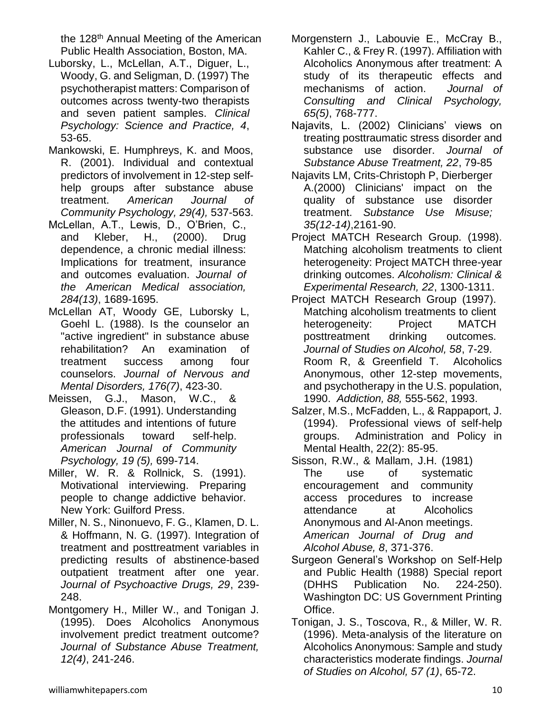the 128<sup>th</sup> Annual Meeting of the American Public Health Association, Boston, MA.

- Luborsky, L., McLellan, A.T., Diguer, L., Woody, G. and Seligman, D. (1997) The psychotherapist matters: Comparison of outcomes across twenty-two therapists and seven patient samples. *Clinical Psychology: Science and Practice, 4*, 53-65.
- Mankowski, E. Humphreys, K. and Moos, R. (2001). Individual and contextual predictors of involvement in 12-step selfhelp groups after substance abuse treatment. *American Journal of Community Psychology, 29(4),* 537-563.
- McLellan, A.T., Lewis, D., O'Brien, C., and Kleber, H., (2000). Drug dependence, a chronic medial illness: Implications for treatment, insurance and outcomes evaluation. *Journal of the American Medical association, 284(13)*, 1689-1695.
- McLellan AT, Woody GE, Luborsky L, Goehl L. (1988). Is the counselor an "active ingredient" in substance abuse rehabilitation? An examination of treatment success among four counselors. *Journal of Nervous and Mental Disorders, 176(7)*, 423-30.
- Meissen, G.J., Mason, W.C., & Gleason, D.F. (1991). Understanding the attitudes and intentions of future professionals toward self-help. *American Journal of Community Psychology, 19 (5),* 699-714.
- Miller, W. R. & Rollnick, S. (1991). Motivational interviewing. Preparing people to change addictive behavior. New York: Guilford Press.
- Miller, N. S., Ninonuevo, F. G., Klamen, D. L. & Hoffmann, N. G. (1997). Integration of treatment and posttreatment variables in predicting results of abstinence-based outpatient treatment after one year. *Journal of Psychoactive Drugs, 29*, 239- 248.
- Montgomery H., Miller W., and Tonigan J. (1995). Does Alcoholics Anonymous involvement predict treatment outcome? *Journal of Substance Abuse Treatment, 12(4)*, 241-246.
- Morgenstern J., Labouvie E., McCray B., Kahler C., & Frey R. (1997). Affiliation with Alcoholics Anonymous after treatment: A study of its therapeutic effects and mechanisms of action. *Journal of Consulting and Clinical Psychology, 65(5)*, 768-777.
- Najavits, L. (2002) Clinicians' views on treating posttraumatic stress disorder and substance use disorder. *Journal of Substance Abuse Treatment, 22*, 79-85
- Najavits LM, Crits-Christoph P, Dierberger A.(2000) Clinicians' impact on the quality of substance use disorder treatment. *Substance Use Misuse; 35(12-14)*,2161-90.
- Project MATCH Research Group. (1998). Matching alcoholism treatments to client heterogeneity: Project MATCH three-year drinking outcomes. *Alcoholism: Clinical & Experimental Research, 22*, 1300-1311.
- Project MATCH Research Group (1997). Matching alcoholism treatments to client heterogeneity: Project MATCH posttreatment drinking outcomes. *Journal of Studies on Alcohol, 58*, 7-29. Room R, & Greenfield T. Alcoholics Anonymous, other 12-step movements, and psychotherapy in the U.S. population, 1990. *Addiction, 88,* 555-562, 1993.
- Salzer, M.S., McFadden, L., & Rappaport, J. (1994). Professional views of self-help groups. Administration and Policy in Mental Health, 22(2): 85-95.
- Sisson, R.W., & Mallam, J.H. (1981) The use of systematic encouragement and community access procedures to increase attendance at Alcoholics Anonymous and Al-Anon meetings. *American Journal of Drug and Alcohol Abuse, 8*, 371-376.
- Surgeon General's Workshop on Self-Help and Public Health (1988) Special report (DHHS Publication No. 224-250). Washington DC: US Government Printing Office.
- Tonigan, J. S., Toscova, R., & Miller, W. R. (1996). Meta-analysis of the literature on Alcoholics Anonymous: Sample and study characteristics moderate findings. *Journal of Studies on Alcohol, 57 (1)*, 65-72.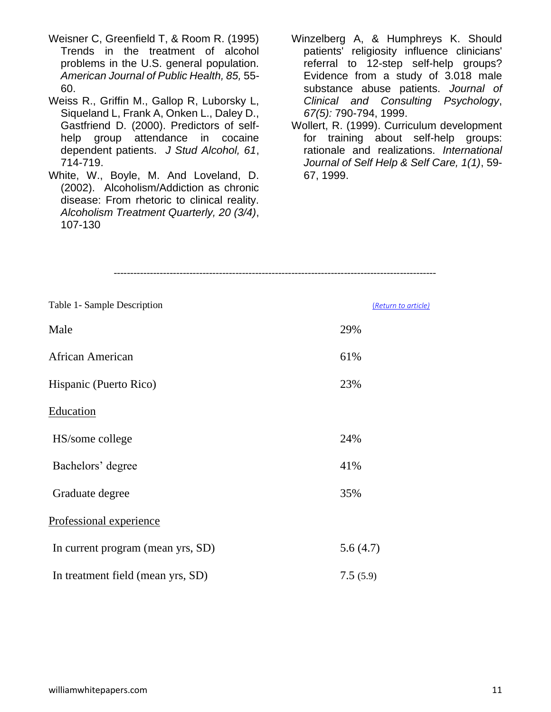Weisner C, Greenfield T, & Room R. (1995) Trends in the treatment of alcohol problems in the U.S. general population. *American Journal of Public Health, 85,* 55- 60.

- Weiss R., Griffin M., Gallop R, Luborsky L, Siqueland L, Frank A, Onken L., Daley D., Gastfriend D. (2000). Predictors of selfhelp group attendance in cocaine dependent patients. *J Stud Alcohol, 61*, 714-719.
- White, W., Boyle, M. And Loveland, D. (2002). Alcoholism/Addiction as chronic disease: From rhetoric to clinical reality. *Alcoholism Treatment Quarterly, 20 (3/4)*, 107-130
- Winzelberg A, & Humphreys K. Should patients' religiosity influence clinicians' referral to 12-step self-help groups? Evidence from a study of 3.018 male substance abuse patients. *Journal of Clinical and Consulting Psychology*, *67(5):* 790-794, 1999.
- Wollert, R. (1999). Curriculum development for training about self-help groups: rationale and realizations. *International Journal of Self Help & Self Care, 1(1)*, 59- 67, 1999.

--------------------------------------------------------------------------------------------------

<span id="page-10-0"></span>

| Table 1- Sample Description       | (Return to article) |
|-----------------------------------|---------------------|
| Male                              | 29%                 |
| African American                  | 61%                 |
| Hispanic (Puerto Rico)            | 23%                 |
| Education                         |                     |
| HS/some college                   | 24%                 |
| Bachelors' degree                 | 41%                 |
| Graduate degree                   | 35%                 |
| Professional experience           |                     |
| In current program (mean yrs, SD) | 5.6(4.7)            |
| In treatment field (mean yrs, SD) | 7.5(5.9)            |